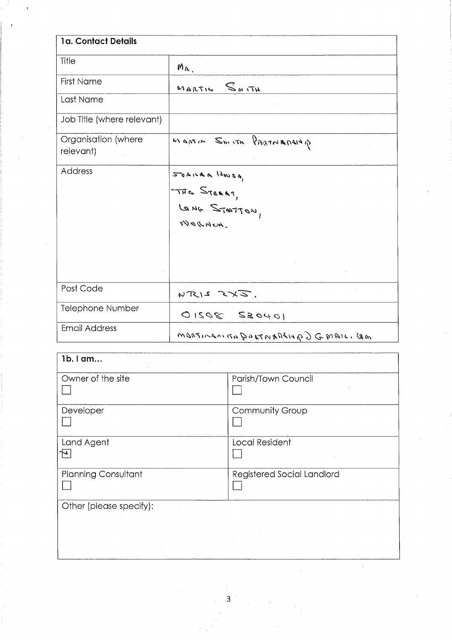| 1a. Contact Details              |                                                               |  |
|----------------------------------|---------------------------------------------------------------|--|
| Title                            | $M_{\Lambda}$                                                 |  |
| First Name                       | $S_{M1}T_{H}$<br>MARTIN                                       |  |
| Last Name                        |                                                               |  |
| Job Title (where relevant)       |                                                               |  |
| Organisation (where<br>relevant) | $g_{1}$ $h\mu\eta\pi$ $m \geq m$ $m \leq m$ $h\eta\pi\eta\pi$ |  |
| Address                          | 500100000<br>THE STARRT,<br>LONG STATTON,                     |  |
| Post Code                        | $NTRI2 \times X3$ .                                           |  |
| <b>Telephone Number</b>          | $0.1040$ $20210$                                              |  |
| <b>Email Address</b>             | MORTINEOINA PARTNARALIA D G MAIL, CAM                         |  |

| $1b.1$ am                  |                            |
|----------------------------|----------------------------|
| Owner of the site          | Parish/Town Council        |
| Developer                  | Community Group            |
| Land Agent                 | Local Resident             |
| <b>Planning Consultant</b> | Registered Social Landlord |
| Other (please specify):    |                            |
|                            |                            |
|                            |                            |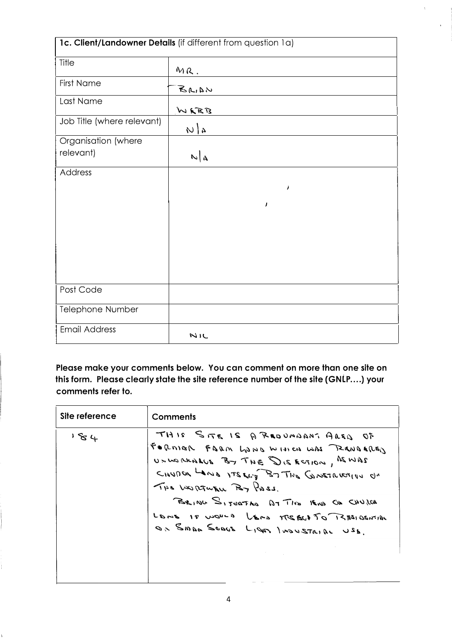| 1c. Client/Landowner Details (if different from question 1a) |       |  |
|--------------------------------------------------------------|-------|--|
| Title                                                        | MR.   |  |
| <b>First Name</b>                                            | 40.45 |  |
| Last Name                                                    | WERB  |  |
| Job Title (where relevant)                                   | 40    |  |
| Organisation (where                                          |       |  |
| relevant)                                                    | $N_A$ |  |
| Address                                                      |       |  |
|                                                              | ,     |  |
|                                                              |       |  |
|                                                              | J     |  |
|                                                              |       |  |
|                                                              |       |  |
|                                                              |       |  |
|                                                              |       |  |
|                                                              |       |  |
| Post Code                                                    |       |  |
| Telephone Number                                             |       |  |
| <b>Email Address</b>                                         | NIC   |  |

Please make your comments below. You can comment on more than one site on this form. Please clearly state the site reference number of the site (GNLP....) your comments refer to.

| Site reference | <b>Comments</b>                                                                                                                                                                                                                                                                                              |
|----------------|--------------------------------------------------------------------------------------------------------------------------------------------------------------------------------------------------------------------------------------------------------------------------------------------------------------|
| 181            | THIS SITE IS A REOVADANT AREO OF<br>FORMER FARM LONG WITH CO WAS READERED<br>UNWARNANT BY THE DISECTION, ASWAS<br>CHUDER LAND ITS ELT BT THE GUNSTRICTION<br>THE WORTHER POT POSS.<br>BEING SITUATED BT THE BUS ON CHUICA<br>LOME 10 works VERS MERGED TO RESIDENTIAL<br>OF SMAD SONOS LIGAS INDUSTAIRE USB. |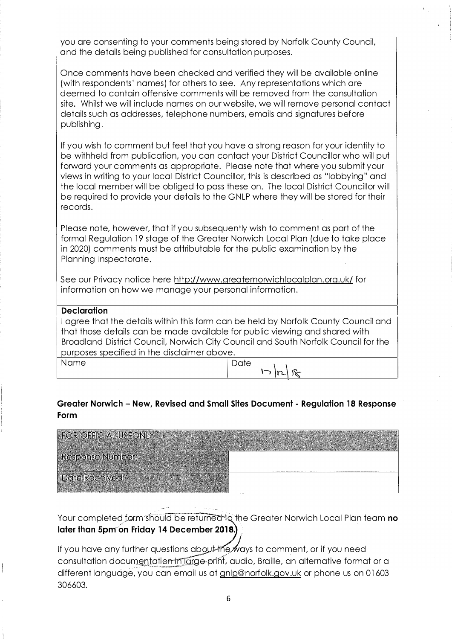you are consenting to your comments being stored by Norfolk County Council, and the details being published for consultation purposes.

Once comments have been checked and verified they will be available online (with respondents' names) for others to see. Any representations which are deemed to contain offensive comments will be removed from the consultation site. Whilst we will include names on our website, we will remove personal contact details such as addresses, telephone numbers, emails and signatures before publishing.

If you wish to comment but feel that you have a strong reason for your identity to be withheld from publication, you can contact your District Councillor who will put forward your comments as appropriate. Please note that where you submit your views in writing to your local District Councillor, this is described as "lobbying" and the local member will be obliged to pass these on. The local District Councillor will be required to provide your details to the GNLP where they will be stored for their records.

Please note, however, that if you subsequently wish to comment as part of the formal Regulation 19 stage of the Greater Norwich Local Plan (due to take place in 2020) comments must be attributable for the public examination by the Planning Inspectorate.

See our Privacy notice here http://www.greaternorwichlocalplan.org.uk/ for information on how we manage your personal information.

## **Declaration**

I agree that the details within this form can be held by Norfolk County Council and that those details can be made available for public viewing and shared with Broadland District Council, Norwich City Council and South Norfolk Council for the purposes specified in the disclaimer above.

Name **Date**  $\, \sqrt{ |r_1| \, |\mathcal{R}| \, |\mathcal{R}| }$ 

## **Greater Norwich - New, Revised and Small Sites Document - Regulation 18 Response Form**

| DR OFFICIAL USEONLY     |  |
|-------------------------|--|
| <b>Response Number:</b> |  |
| <b>Ite Received:</b>    |  |
|                         |  |

Your completed form should be returned to the Greater Norwich Local Plan team **no**<br>Inter than **Frank of Lister 24 B**oose than **2012 later than 5pm on Friday 14 December 20,**

,..-�· .,

If you have any further questions about the ways to comment, or if you need consultation documentation in Targe print, audio, Braille, an alternative format or a different language, you can email us at gnlp@norfolk.gov.uk or phone us on 01603 306603.